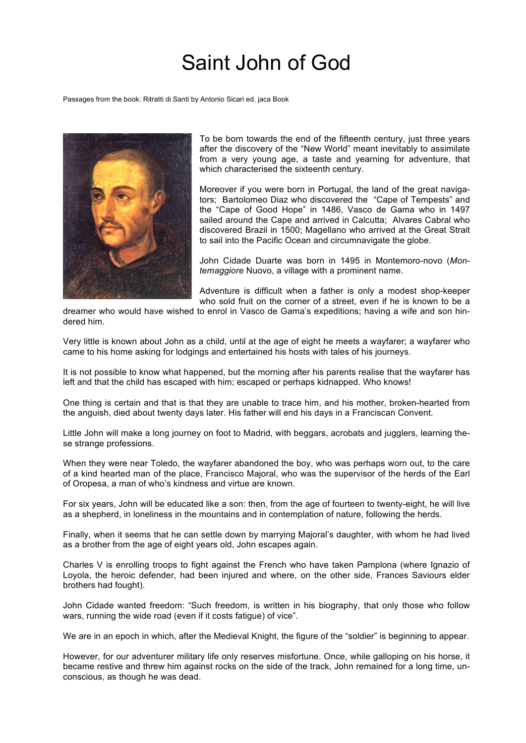## Saint John of God

Passages from the book: Ritratti di Santi by Antonio Sicari ed. jaca Book



To be born towards the end of the fifteenth century, just three years after the discovery of the "New World" meant inevitably to assimilate from a very young age, a taste and yearning for adventure, that which characterised the sixteenth century.

Moreover if you were born in Portugal, the land of the great navigators; Bartolomeo Diaz who discovered the "Cape of Tempests" and the "Cape of Good Hope" in 1486, Vasco de Gama who in 1497 sailed around the Cape and arrived in Calcutta; Alvares Cabral who discovered Brazil in 1500; Magellano who arrived at the Great Strait to sail into the Pacific Ocean and circumnavigate the globe.

John Cidade Duarte was born in 1495 in Montemoro-novo (*Montemaggiore* Nuovo, a village with a prominent name.

Adventure is difficult when a father is only a modest shop-keeper who sold fruit on the corner of a street, even if he is known to be a

dreamer who would have wished to enrol in Vasco de Gama's expeditions; having a wife and son hindered him.

Very little is known about John as a child, until at the age of eight he meets a wayfarer; a wayfarer who came to his home asking for lodgings and entertained his hosts with tales of his journeys.

It is not possible to know what happened, but the morning after his parents realise that the wayfarer has left and that the child has escaped with him; escaped or perhaps kidnapped. Who knows!

One thing is certain and that is that they are unable to trace him, and his mother, broken-hearted from the anguish, died about twenty days later. His father will end his days in a Franciscan Convent.

Little John will make a long journey on foot to Madrid, with beggars, acrobats and jugglers, learning these strange professions.

When they were near Toledo, the wayfarer abandoned the boy, who was perhaps worn out, to the care of a kind hearted man of the place, Francisco Majoral, who was the supervisor of the herds of the Earl of Oropesa, a man of who's kindness and virtue are known.

For six years, John will be educated like a son: then, from the age of fourteen to twenty-eight, he will live as a shepherd, in loneliness in the mountains and in contemplation of nature, following the herds.

Finally, when it seems that he can settle down by marrying Majoral's daughter, with whom he had lived as a brother from the age of eight years old, John escapes again.

Charles V is enrolling troops to fight against the French who have taken Pamplona (where Ignazio of Loyola, the heroic defender, had been injured and where, on the other side, Frances Saviours elder brothers had fought).

John Cidade wanted freedom: "Such freedom, is written in his biography, that only those who follow wars, running the wide road (even if it costs fatigue) of vice".

We are in an epoch in which, after the Medieval Knight, the figure of the "soldier" is beginning to appear.

However, for our adventurer military life only reserves misfortune. Once, while galloping on his horse, it became restive and threw him against rocks on the side of the track, John remained for a long time, unconscious, as though he was dead.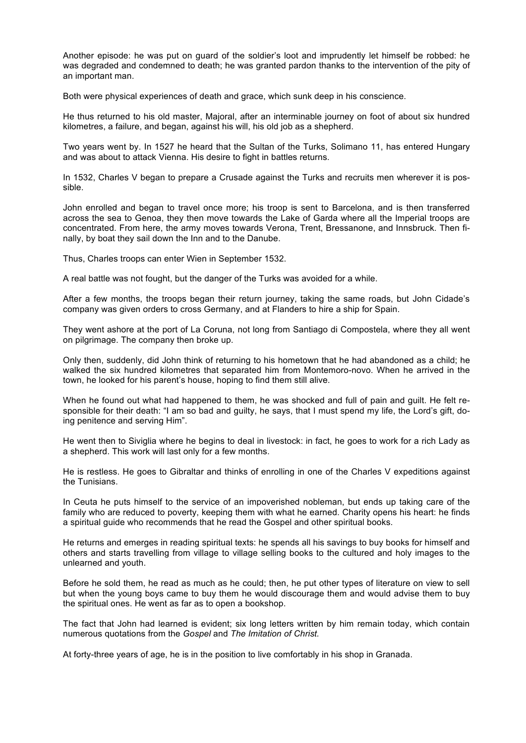Another episode: he was put on guard of the soldier's loot and imprudently let himself be robbed: he was degraded and condemned to death; he was granted pardon thanks to the intervention of the pity of an important man.

Both were physical experiences of death and grace, which sunk deep in his conscience.

He thus returned to his old master, Majoral, after an interminable journey on foot of about six hundred kilometres, a failure, and began, against his will, his old job as a shepherd.

Two years went by. In 1527 he heard that the Sultan of the Turks, Solimano 11, has entered Hungary and was about to attack Vienna. His desire to fight in battles returns.

In 1532, Charles V began to prepare a Crusade against the Turks and recruits men wherever it is possible.

John enrolled and began to travel once more; his troop is sent to Barcelona, and is then transferred across the sea to Genoa, they then move towards the Lake of Garda where all the Imperial troops are concentrated. From here, the army moves towards Verona, Trent, Bressanone, and Innsbruck. Then finally, by boat they sail down the Inn and to the Danube.

Thus, Charles troops can enter Wien in September 1532.

A real battle was not fought, but the danger of the Turks was avoided for a while.

After a few months, the troops began their return journey, taking the same roads, but John Cidade's company was given orders to cross Germany, and at Flanders to hire a ship for Spain.

They went ashore at the port of La Coruna, not long from Santiago di Compostela, where they all went on pilgrimage. The company then broke up.

Only then, suddenly, did John think of returning to his hometown that he had abandoned as a child; he walked the six hundred kilometres that separated him from Montemoro-novo. When he arrived in the town, he looked for his parent's house, hoping to find them still alive.

When he found out what had happened to them, he was shocked and full of pain and guilt. He felt responsible for their death: "I am so bad and guilty, he says, that I must spend my life, the Lord's gift, doing penitence and serving Him".

He went then to Siviglia where he begins to deal in livestock: in fact, he goes to work for a rich Lady as a shepherd. This work will last only for a few months.

He is restless. He goes to Gibraltar and thinks of enrolling in one of the Charles V expeditions against the Tunisians.

In Ceuta he puts himself to the service of an impoverished nobleman, but ends up taking care of the family who are reduced to poverty, keeping them with what he earned. Charity opens his heart: he finds a spiritual guide who recommends that he read the Gospel and other spiritual books.

He returns and emerges in reading spiritual texts: he spends all his savings to buy books for himself and others and starts travelling from village to village selling books to the cultured and holy images to the unlearned and youth.

Before he sold them, he read as much as he could; then, he put other types of literature on view to sell but when the young boys came to buy them he would discourage them and would advise them to buy the spiritual ones. He went as far as to open a bookshop.

The fact that John had learned is evident; six long letters written by him remain today, which contain numerous quotations from the *Gospel* and *The Imitation of Christ.*

At forty-three years of age, he is in the position to live comfortably in his shop in Granada.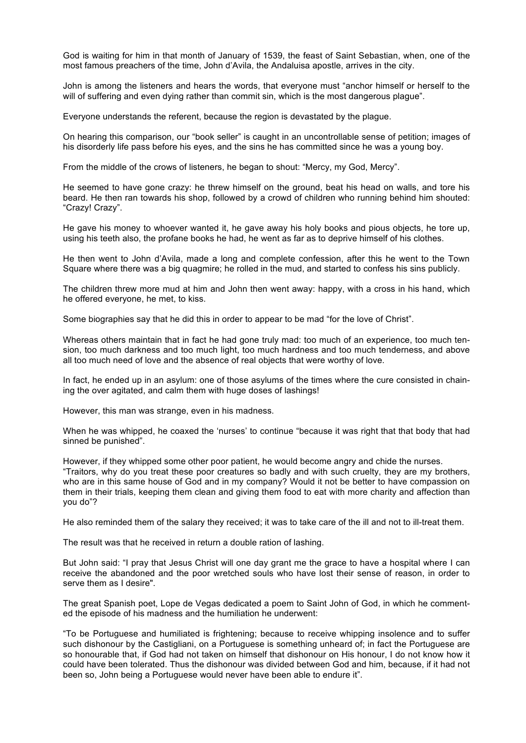God is waiting for him in that month of January of 1539, the feast of Saint Sebastian, when, one of the most famous preachers of the time, John d'Avila, the Andaluisa apostle, arrives in the city.

John is among the listeners and hears the words, that everyone must "anchor himself or herself to the will of suffering and even dying rather than commit sin, which is the most dangerous plague".

Everyone understands the referent, because the region is devastated by the plague.

On hearing this comparison, our "book seller" is caught in an uncontrollable sense of petition; images of his disorderly life pass before his eyes, and the sins he has committed since he was a young boy.

From the middle of the crows of listeners, he began to shout: "Mercy, my God, Mercy".

He seemed to have gone crazy: he threw himself on the ground, beat his head on walls, and tore his beard. He then ran towards his shop, followed by a crowd of children who running behind him shouted: "Crazy! Crazy".

He gave his money to whoever wanted it, he gave away his holy books and pious objects, he tore up, using his teeth also, the profane books he had, he went as far as to deprive himself of his clothes.

He then went to John d'Avila, made a long and complete confession, after this he went to the Town Square where there was a big quagmire; he rolled in the mud, and started to confess his sins publicly.

The children threw more mud at him and John then went away: happy, with a cross in his hand, which he offered everyone, he met, to kiss.

Some biographies say that he did this in order to appear to be mad "for the love of Christ".

Whereas others maintain that in fact he had gone truly mad: too much of an experience, too much tension, too much darkness and too much light, too much hardness and too much tenderness, and above all too much need of love and the absence of real objects that were worthy of love.

In fact, he ended up in an asylum: one of those asylums of the times where the cure consisted in chaining the over agitated, and calm them with huge doses of lashings!

However, this man was strange, even in his madness.

When he was whipped, he coaxed the 'nurses' to continue "because it was right that that body that had sinned be punished".

However, if they whipped some other poor patient, he would become angry and chide the nurses. "Traitors, why do you treat these poor creatures so badly and with such cruelty, they are my brothers, who are in this same house of God and in my company? Would it not be better to have compassion on them in their trials, keeping them clean and giving them food to eat with more charity and affection than you do"?

He also reminded them of the salary they received; it was to take care of the ill and not to ill-treat them.

The result was that he received in return a double ration of lashing.

But John said: "I pray that Jesus Christ will one day grant me the grace to have a hospital where I can receive the abandoned and the poor wretched souls who have lost their sense of reason, in order to serve them as I desire".

The great Spanish poet, Lope de Vegas dedicated a poem to Saint John of God, in which he commented the episode of his madness and the humiliation he underwent:

"To be Portuguese and humiliated is frightening; because to receive whipping insolence and to suffer such dishonour by the Castigliani, on a Portuguese is something unheard of; in fact the Portuguese are so honourable that, if God had not taken on himself that dishonour on His honour, I do not know how it could have been tolerated. Thus the dishonour was divided between God and him, because, if it had not been so, John being a Portuguese would never have been able to endure it".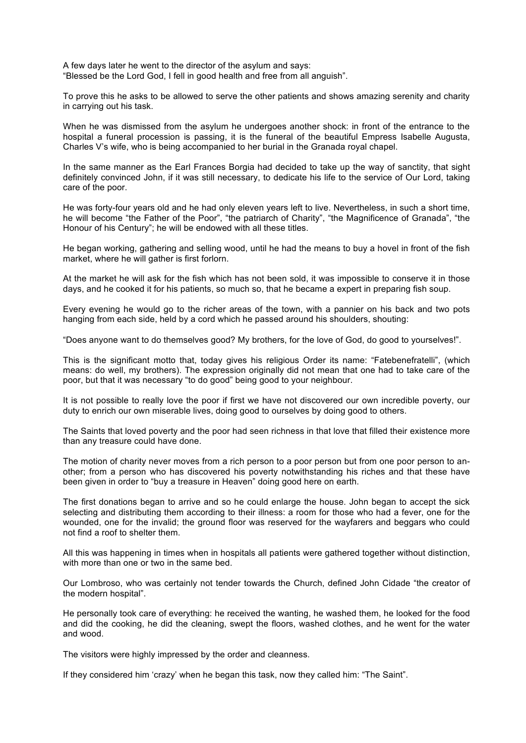A few days later he went to the director of the asylum and says: "Blessed be the Lord God, I fell in good health and free from all anguish".

To prove this he asks to be allowed to serve the other patients and shows amazing serenity and charity in carrying out his task.

When he was dismissed from the asylum he undergoes another shock: in front of the entrance to the hospital a funeral procession is passing, it is the funeral of the beautiful Empress Isabelle Augusta, Charles V's wife, who is being accompanied to her burial in the Granada royal chapel.

In the same manner as the Earl Frances Borgia had decided to take up the way of sanctity, that sight definitely convinced John, if it was still necessary, to dedicate his life to the service of Our Lord, taking care of the poor.

He was forty-four years old and he had only eleven years left to live. Nevertheless, in such a short time, he will become "the Father of the Poor", "the patriarch of Charity", "the Magnificence of Granada", "the Honour of his Century"; he will be endowed with all these titles.

He began working, gathering and selling wood, until he had the means to buy a hovel in front of the fish market, where he will gather is first forlorn.

At the market he will ask for the fish which has not been sold, it was impossible to conserve it in those days, and he cooked it for his patients, so much so, that he became a expert in preparing fish soup.

Every evening he would go to the richer areas of the town, with a pannier on his back and two pots hanging from each side, held by a cord which he passed around his shoulders, shouting:

"Does anyone want to do themselves good? My brothers, for the love of God, do good to yourselves!".

This is the significant motto that, today gives his religious Order its name: "Fatebenefratelli", (which means: do well, my brothers). The expression originally did not mean that one had to take care of the poor, but that it was necessary "to do good" being good to your neighbour.

It is not possible to really love the poor if first we have not discovered our own incredible poverty, our duty to enrich our own miserable lives, doing good to ourselves by doing good to others.

The Saints that loved poverty and the poor had seen richness in that love that filled their existence more than any treasure could have done.

The motion of charity never moves from a rich person to a poor person but from one poor person to another; from a person who has discovered his poverty notwithstanding his riches and that these have been given in order to "buy a treasure in Heaven" doing good here on earth.

The first donations began to arrive and so he could enlarge the house. John began to accept the sick selecting and distributing them according to their illness: a room for those who had a fever, one for the wounded, one for the invalid; the ground floor was reserved for the wayfarers and beggars who could not find a roof to shelter them.

All this was happening in times when in hospitals all patients were gathered together without distinction, with more than one or two in the same bed.

Our Lombroso, who was certainly not tender towards the Church, defined John Cidade "the creator of the modern hospital".

He personally took care of everything: he received the wanting, he washed them, he looked for the food and did the cooking, he did the cleaning, swept the floors, washed clothes, and he went for the water and wood.

The visitors were highly impressed by the order and cleanness.

If they considered him 'crazy' when he began this task, now they called him: "The Saint".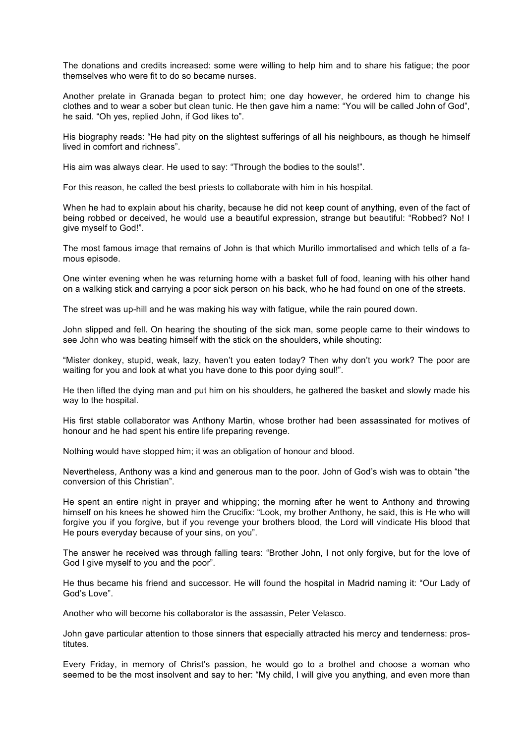The donations and credits increased: some were willing to help him and to share his fatigue; the poor themselves who were fit to do so became nurses.

Another prelate in Granada began to protect him; one day however, he ordered him to change his clothes and to wear a sober but clean tunic. He then gave him a name: "You will be called John of God", he said. "Oh yes, replied John, if God likes to".

His biography reads: "He had pity on the slightest sufferings of all his neighbours, as though he himself lived in comfort and richness".

His aim was always clear. He used to say: "Through the bodies to the souls!".

For this reason, he called the best priests to collaborate with him in his hospital.

When he had to explain about his charity, because he did not keep count of anything, even of the fact of being robbed or deceived, he would use a beautiful expression, strange but beautiful: "Robbed? No! I give myself to God!".

The most famous image that remains of John is that which Murillo immortalised and which tells of a famous episode.

One winter evening when he was returning home with a basket full of food, leaning with his other hand on a walking stick and carrying a poor sick person on his back, who he had found on one of the streets.

The street was up-hill and he was making his way with fatigue, while the rain poured down.

John slipped and fell. On hearing the shouting of the sick man, some people came to their windows to see John who was beating himself with the stick on the shoulders, while shouting:

"Mister donkey, stupid, weak, lazy, haven't you eaten today? Then why don't you work? The poor are waiting for you and look at what you have done to this poor dying soul!".

He then lifted the dying man and put him on his shoulders, he gathered the basket and slowly made his way to the hospital.

His first stable collaborator was Anthony Martin, whose brother had been assassinated for motives of honour and he had spent his entire life preparing revenge.

Nothing would have stopped him; it was an obligation of honour and blood.

Nevertheless, Anthony was a kind and generous man to the poor. John of God's wish was to obtain "the conversion of this Christian".

He spent an entire night in prayer and whipping; the morning after he went to Anthony and throwing himself on his knees he showed him the Crucifix: "Look, my brother Anthony, he said, this is He who will forgive you if you forgive, but if you revenge your brothers blood, the Lord will vindicate His blood that He pours everyday because of your sins, on you".

The answer he received was through falling tears: "Brother John, I not only forgive, but for the love of God I give myself to you and the poor".

He thus became his friend and successor. He will found the hospital in Madrid naming it: "Our Lady of God's Love".

Another who will become his collaborator is the assassin, Peter Velasco.

John gave particular attention to those sinners that especially attracted his mercy and tenderness: prostitutes.

Every Friday, in memory of Christ's passion, he would go to a brothel and choose a woman who seemed to be the most insolvent and say to her: "My child, I will give you anything, and even more than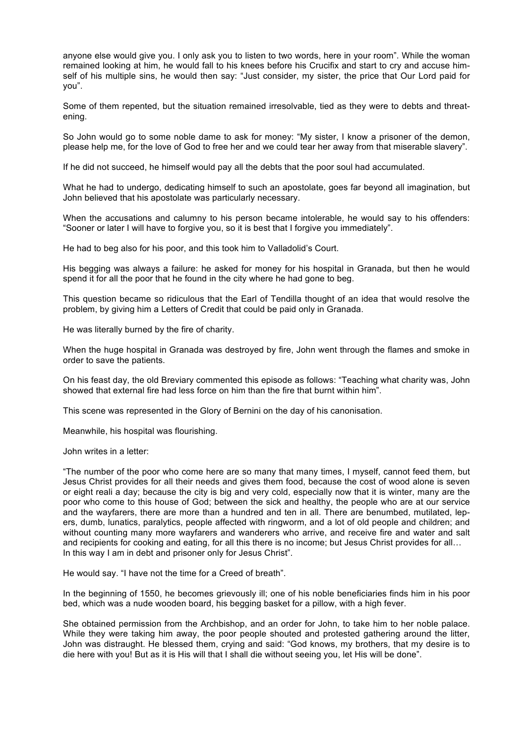anyone else would give you. I only ask you to listen to two words, here in your room". While the woman remained looking at him, he would fall to his knees before his Crucifix and start to cry and accuse himself of his multiple sins, he would then say: "Just consider, my sister, the price that Our Lord paid for you".

Some of them repented, but the situation remained irresolvable, tied as they were to debts and threatening.

So John would go to some noble dame to ask for money: "My sister, I know a prisoner of the demon, please help me, for the love of God to free her and we could tear her away from that miserable slavery".

If he did not succeed, he himself would pay all the debts that the poor soul had accumulated.

What he had to undergo, dedicating himself to such an apostolate, goes far beyond all imagination, but John believed that his apostolate was particularly necessary.

When the accusations and calumny to his person became intolerable, he would say to his offenders: "Sooner or later I will have to forgive you, so it is best that I forgive you immediately".

He had to beg also for his poor, and this took him to Valladolid's Court.

His begging was always a failure: he asked for money for his hospital in Granada, but then he would spend it for all the poor that he found in the city where he had gone to beg.

This question became so ridiculous that the Earl of Tendilla thought of an idea that would resolve the problem, by giving him a Letters of Credit that could be paid only in Granada.

He was literally burned by the fire of charity.

When the huge hospital in Granada was destroyed by fire, John went through the flames and smoke in order to save the patients.

On his feast day, the old Breviary commented this episode as follows: "Teaching what charity was, John showed that external fire had less force on him than the fire that burnt within him".

This scene was represented in the Glory of Bernini on the day of his canonisation.

Meanwhile, his hospital was flourishing.

John writes in a letter:

"The number of the poor who come here are so many that many times, I myself, cannot feed them, but Jesus Christ provides for all their needs and gives them food, because the cost of wood alone is seven or eight reali a day; because the city is big and very cold, especially now that it is winter, many are the poor who come to this house of God; between the sick and healthy, the people who are at our service and the wayfarers, there are more than a hundred and ten in all. There are benumbed, mutilated, lepers, dumb, lunatics, paralytics, people affected with ringworm, and a lot of old people and children; and without counting many more wayfarers and wanderers who arrive, and receive fire and water and salt and recipients for cooking and eating, for all this there is no income; but Jesus Christ provides for all… In this way I am in debt and prisoner only for Jesus Christ".

He would say. "I have not the time for a Creed of breath".

In the beginning of 1550, he becomes grievously ill; one of his noble beneficiaries finds him in his poor bed, which was a nude wooden board, his begging basket for a pillow, with a high fever.

She obtained permission from the Archbishop, and an order for John, to take him to her noble palace. While they were taking him away, the poor people shouted and protested gathering around the litter, John was distraught. He blessed them, crying and said: "God knows, my brothers, that my desire is to die here with you! But as it is His will that I shall die without seeing you, let His will be done".